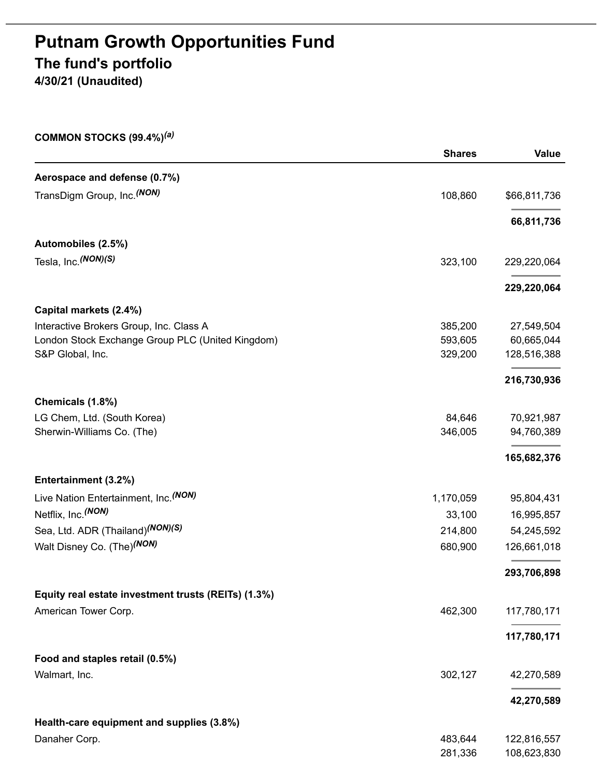## **Putnam Growth Opportunities Fund The fund's portfolio 4/30/21 (Unaudited)**

**COMMON STOCKS (99.4%)** *(a)*

|                                                     | <b>Shares</b> | <b>Value</b> |
|-----------------------------------------------------|---------------|--------------|
| Aerospace and defense (0.7%)                        |               |              |
| TransDigm Group, Inc. <sup>(NON)</sup>              | 108,860       | \$66,811,736 |
|                                                     |               | 66,811,736   |
| Automobiles (2.5%)                                  |               |              |
| Tesla, Inc. (NON)(S)                                | 323,100       | 229,220,064  |
|                                                     |               | 229,220,064  |
| Capital markets (2.4%)                              |               |              |
| Interactive Brokers Group, Inc. Class A             | 385,200       | 27,549,504   |
| London Stock Exchange Group PLC (United Kingdom)    | 593,605       | 60,665,044   |
| S&P Global, Inc.                                    | 329,200       | 128,516,388  |
|                                                     |               | 216,730,936  |
| Chemicals (1.8%)                                    |               |              |
| LG Chem, Ltd. (South Korea)                         | 84,646        | 70,921,987   |
| Sherwin-Williams Co. (The)                          | 346,005       | 94,760,389   |
|                                                     |               | 165,682,376  |
| Entertainment (3.2%)                                |               |              |
| Live Nation Entertainment, Inc. (NON)               | 1,170,059     | 95,804,431   |
| Netflix, Inc. (NON)                                 | 33,100        | 16,995,857   |
| Sea, Ltd. ADR (Thailand) <sup>(NON)(S)</sup>        | 214,800       | 54,245,592   |
| Walt Disney Co. (The) <sup>(NON)</sup>              | 680,900       | 126,661,018  |
|                                                     |               | 293,706,898  |
| Equity real estate investment trusts (REITs) (1.3%) |               |              |
| American Tower Corp.                                | 462,300       | 117,780,171  |
|                                                     |               | 117,780,171  |
| Food and staples retail (0.5%)                      |               |              |
| Walmart, Inc.                                       | 302,127       | 42,270,589   |
|                                                     |               | 42,270,589   |
| Health-care equipment and supplies (3.8%)           |               |              |
| Danaher Corp.                                       | 483,644       | 122,816,557  |
|                                                     | 281,336       | 108,623,830  |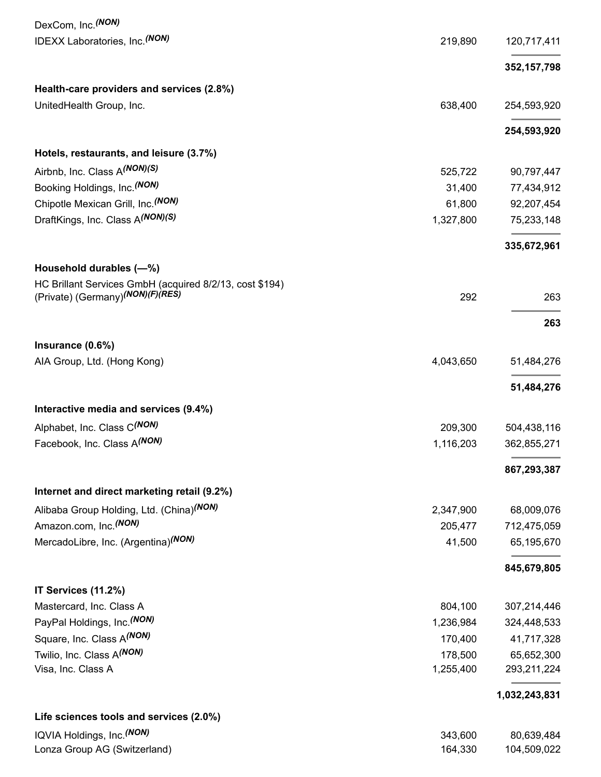| DexCom, Inc. (NON)                                      |                      |                           |
|---------------------------------------------------------|----------------------|---------------------------|
| <b>IDEXX Laboratories, Inc. (NON)</b>                   | 219,890              | 120,717,411               |
|                                                         |                      | 352, 157, 798             |
| Health-care providers and services (2.8%)               |                      |                           |
| UnitedHealth Group, Inc.                                | 638,400              | 254,593,920               |
|                                                         |                      | 254,593,920               |
| Hotels, restaurants, and leisure (3.7%)                 |                      |                           |
| Airbnb, Inc. Class A(NON)(S)                            | 525,722              | 90,797,447                |
| Booking Holdings, Inc. (NON)                            | 31,400               | 77,434,912                |
| Chipotle Mexican Grill, Inc. (NON)                      | 61,800               | 92,207,454                |
| DraftKings, Inc. Class A(NON)(S)                        | 1,327,800            | 75,233,148                |
|                                                         |                      | 335,672,961               |
| Household durables (-%)                                 |                      |                           |
| HC Brillant Services GmbH (acquired 8/2/13, cost \$194) |                      |                           |
| (Private) (Germany) <sup>(NON)</sup> (F)(RES)           | 292                  | 263                       |
|                                                         |                      | 263                       |
| Insurance (0.6%)                                        |                      |                           |
| AIA Group, Ltd. (Hong Kong)                             | 4,043,650            | 51,484,276                |
|                                                         |                      | 51,484,276                |
| Interactive media and services (9.4%)                   |                      |                           |
| Alphabet, Inc. Class C(NON)                             | 209,300              | 504,438,116               |
| Facebook, Inc. Class A(NON)                             | 1,116,203            | 362,855,271               |
|                                                         |                      | 867,293,387               |
| Internet and direct marketing retail (9.2%)             |                      |                           |
| Alibaba Group Holding, Ltd. (China) <sup>(NON)</sup>    | 2,347,900            | 68,009,076                |
| Amazon.com, Inc. <sup>(NON)</sup>                       | 205,477              | 712,475,059               |
| MercadoLibre, Inc. (Argentina) <sup>(NON)</sup>         | 41,500               | 65,195,670                |
|                                                         |                      |                           |
|                                                         |                      | 845,679,805               |
| IT Services (11.2%)                                     |                      |                           |
| Mastercard, Inc. Class A                                | 804,100              | 307,214,446               |
| PayPal Holdings, Inc. (NON)                             | 1,236,984            | 324,448,533               |
| Square, Inc. Class A(NON)<br>Twilio, Inc. Class A(NON)  | 170,400              | 41,717,328                |
| Visa, Inc. Class A                                      | 178,500<br>1,255,400 | 65,652,300<br>293,211,224 |
|                                                         |                      |                           |
|                                                         |                      | 1,032,243,831             |
| Life sciences tools and services (2.0%)                 |                      |                           |
| IQVIA Holdings, Inc. <sup>(NON)</sup>                   | 343,600              | 80,639,484                |
| Lonza Group AG (Switzerland)                            | 164,330              | 104,509,022               |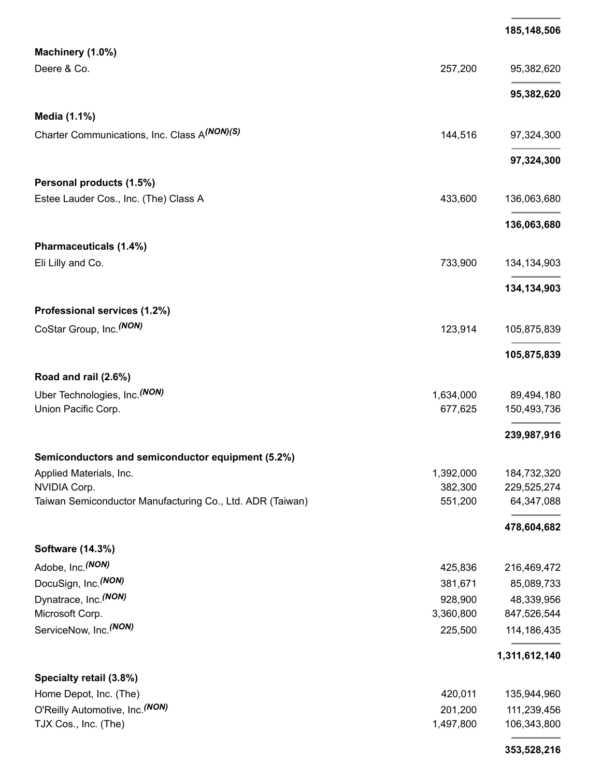|                                                           |                      | 185,148,506               |
|-----------------------------------------------------------|----------------------|---------------------------|
| Machinery (1.0%)                                          |                      |                           |
| Deere & Co.                                               | 257,200              | 95,382,620                |
|                                                           |                      | 95,382,620                |
|                                                           |                      |                           |
| Media (1.1%)                                              |                      |                           |
| Charter Communications, Inc. Class A(NON)(S)              | 144,516              | 97,324,300                |
|                                                           |                      | 97,324,300                |
| Personal products (1.5%)                                  |                      |                           |
| Estee Lauder Cos., Inc. (The) Class A                     | 433,600              | 136,063,680               |
|                                                           |                      |                           |
|                                                           |                      | 136,063,680               |
| Pharmaceuticals (1.4%)                                    |                      |                           |
| Eli Lilly and Co.                                         | 733,900              | 134,134,903               |
|                                                           |                      | 134,134,903               |
|                                                           |                      |                           |
| Professional services (1.2%)                              |                      |                           |
| CoStar Group, Inc. <sup>(NON)</sup>                       | 123,914              | 105,875,839               |
|                                                           |                      | 105,875,839               |
| Road and rail (2.6%)                                      |                      |                           |
|                                                           |                      |                           |
| Uber Technologies, Inc. (NON)<br>Union Pacific Corp.      | 1,634,000<br>677,625 | 89,494,180<br>150,493,736 |
|                                                           |                      |                           |
|                                                           |                      | 239,987,916               |
| Semiconductors and semiconductor equipment (5.2%)         |                      |                           |
| Applied Materials, Inc.                                   | 1,392,000            | 184,732,320               |
| <b>NVIDIA Corp.</b>                                       | 382,300              | 229,525,274               |
| Taiwan Semiconductor Manufacturing Co., Ltd. ADR (Taiwan) | 551,200              | 64,347,088                |
|                                                           |                      | 478,604,682               |
| Software (14.3%)                                          |                      |                           |
| Adobe, Inc. (NON)                                         | 425,836              | 216,469,472               |
| DocuSign, Inc. <sup>(NON)</sup>                           | 381,671              | 85,089,733                |
| Dynatrace, Inc. (NON)                                     | 928,900              | 48,339,956                |
| Microsoft Corp.                                           | 3,360,800            | 847,526,544               |
| ServiceNow, Inc. <sup>(NON)</sup>                         | 225,500              | 114,186,435               |
|                                                           |                      | 1,311,612,140             |
| Specialty retail (3.8%)                                   |                      |                           |
| Home Depot, Inc. (The)                                    | 420,011              | 135,944,960               |
| O'Reilly Automotive, Inc. (NON)                           | 201,200              | 111,239,456               |
| TJX Cos., Inc. (The)                                      | 1,497,800            | 106,343,800               |
|                                                           |                      |                           |

**353,528,216**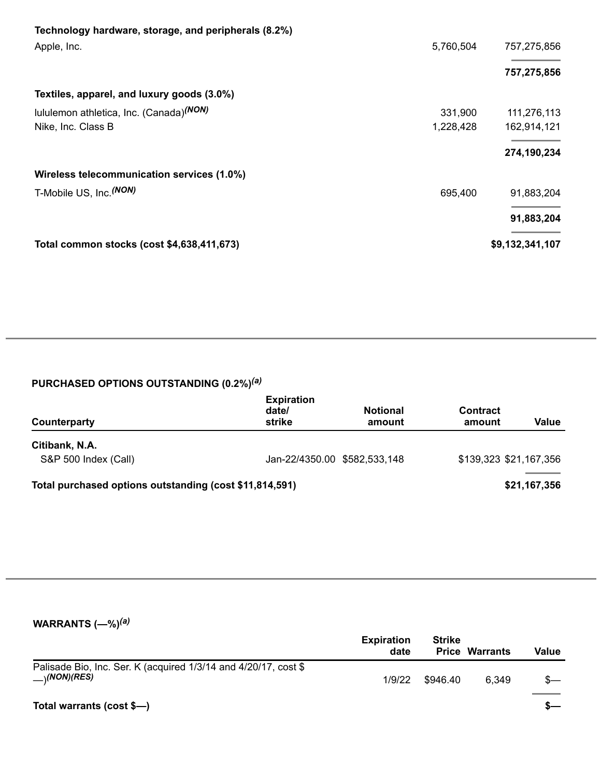| Technology hardware, storage, and peripherals (8.2%) |           |                 |
|------------------------------------------------------|-----------|-----------------|
| Apple, Inc.                                          | 5,760,504 | 757,275,856     |
|                                                      |           | 757,275,856     |
| Textiles, apparel, and luxury goods (3.0%)           |           |                 |
| lululemon athletica, Inc. (Canada) <sup>(NON)</sup>  | 331,900   | 111,276,113     |
| Nike, Inc. Class B                                   | 1,228,428 | 162,914,121     |
|                                                      |           | 274,190,234     |
| Wireless telecommunication services (1.0%)           |           |                 |
| T-Mobile US, Inc. (NON)                              | 695,400   | 91,883,204      |
|                                                      |           | 91,883,204      |
| Total common stocks (cost \$4,638,411,673)           |           | \$9,132,341,107 |
|                                                      |           |                 |

#### **PURCHASED OPTIONS OUTSTANDING (0.2%)** *(a)*

| Counterparty                                            | <b>Expiration</b><br>date/<br>strike | <b>Notional</b><br>amount | <b>Contract</b><br>amount | Value        |
|---------------------------------------------------------|--------------------------------------|---------------------------|---------------------------|--------------|
| Citibank, N.A.<br>S&P 500 Index (Call)                  | Jan-22/4350.00 \$582,533,148         |                           | \$139,323 \$21,167,356    |              |
| Total purchased options outstanding (cost \$11,814,591) |                                      |                           |                           | \$21,167,356 |

**WARRANTS (—%)** *(a)*

|                                                                                             | <b>Expiration</b><br>date | <b>Strike</b> | <b>Price Warrants</b> | Value |
|---------------------------------------------------------------------------------------------|---------------------------|---------------|-----------------------|-------|
| Palisade Bio, Inc. Ser. K (acquired 1/3/14 and 4/20/17, cost \$<br>$\rightarrow$ (NON)(RES) | 1/9/22                    | \$946.40      | 6.349                 |       |
| Total warrants (cost \$-)                                                                   |                           |               |                       | $s-$  |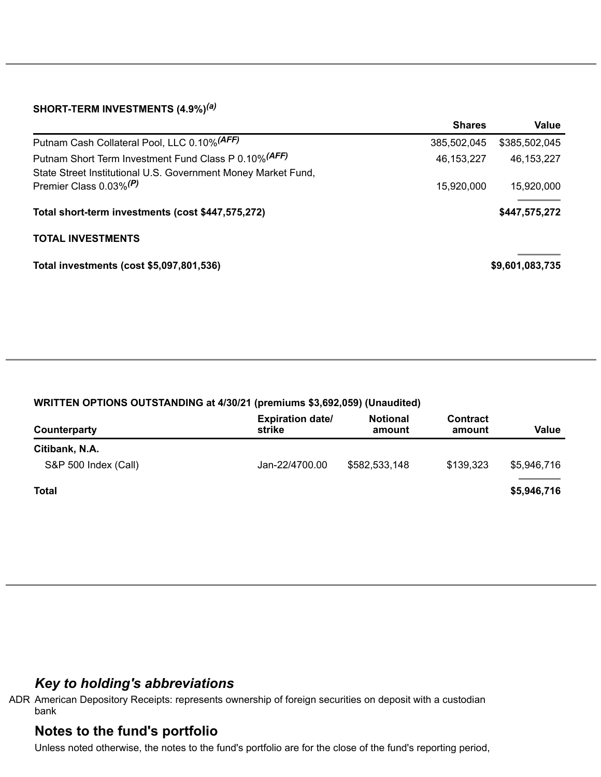#### **SHORT-TERM INVESTMENTS (4.9%)** *(a)*

|                                                                                                                        | <b>Shares</b>   | Value         |
|------------------------------------------------------------------------------------------------------------------------|-----------------|---------------|
| Putnam Cash Collateral Pool, LLC 0.10% (AFF)                                                                           | 385,502,045     | \$385,502,045 |
| Putnam Short Term Investment Fund Class P 0.10% (AFF)<br>State Street Institutional U.S. Government Money Market Fund, | 46, 153, 227    | 46, 153, 227  |
| Premier Class $0.03\%$ <sup>(P)</sup>                                                                                  | 15,920,000      | 15,920,000    |
| Total short-term investments (cost \$447,575,272)                                                                      |                 | \$447,575,272 |
| <b>TOTAL INVESTMENTS</b>                                                                                               |                 |               |
| Total investments (cost \$5,097,801,536)                                                                               | \$9,601,083,735 |               |

#### **WRITTEN OPTIONS OUTSTANDING at 4/30/21 (premiums \$3,692,059) (Unaudited)**

| Counterparty                           | <b>Expiration date/</b><br>strike | <b>Notional</b><br>amount | <b>Contract</b><br>amount | Value       |
|----------------------------------------|-----------------------------------|---------------------------|---------------------------|-------------|
| Citibank, N.A.<br>S&P 500 Index (Call) | Jan-22/4700.00                    | \$582,533,148             | \$139,323                 | \$5,946,716 |
| <b>Total</b>                           |                                   |                           |                           | \$5,946,716 |

### *Key to holding's abbreviations*

ADR American Depository Receipts: represents ownership of foreign securities on deposit with a custodian bank

### **Notes to the fund's portfolio**

Unless noted otherwise, the notes to the fund's portfolio are for the close of the fund's reporting period,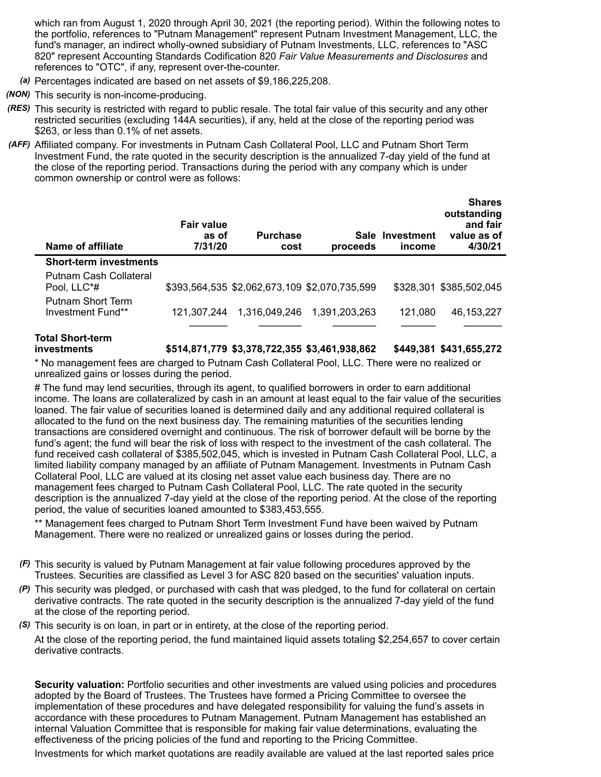which ran from August 1, 2020 through April 30, 2021 (the reporting period). Within the following notes to the portfolio, references to "Putnam Management" represent Putnam Investment Management, LLC, the fund's manager, an indirect wholly-owned subsidiary of Putnam Investments, LLC, references to "ASC 820" represent Accounting Standards Codification 820 *Fair Value Measurements and Disclosures* and references to "OTC", if any, represent over-the-counter.

- *(a)* Percentages indicated are based on net assets of \$9,186,225,208.
- *(NON)* This security is non-income-producing.
- *(RES)* This security is restricted with regard to public resale. The total fair value of this security and any other restricted securities (excluding 144A securities), if any, held at the close of the reporting period was \$263, or less than 0.1% of net assets.
- *(AFF)* Affiliated company. For investments in Putnam Cash Collateral Pool, LLC and Putnam Short Term Investment Fund, the rate quoted in the security description is the annualized 7-day yield of the fund at the close of the reporting period. Transactions during the period with any company which is under common ownership or control were as follows:

| <b>Name of affiliate</b>               | <b>Fair value</b><br>as of<br>7/31/20 | <b>Purchase</b><br>cost                       | Sale<br>proceeds | Investment<br>income | <b>Shares</b><br>outstanding<br>and fair<br>value as of<br>4/30/21 |
|----------------------------------------|---------------------------------------|-----------------------------------------------|------------------|----------------------|--------------------------------------------------------------------|
| <b>Short-term investments</b>          |                                       |                                               |                  |                      |                                                                    |
| Putnam Cash Collateral<br>Pool. LLC*#  |                                       | \$393,564,535 \$2,062,673,109 \$2,070,735,599 |                  |                      | \$328,301 \$385,502,045                                            |
| Putnam Short Term<br>Investment Fund** | 121.307.244                           | 1,316,049,246                                 | 1.391.203.263    | 121.080              | 46, 153, 227                                                       |
|                                        |                                       |                                               |                  |                      |                                                                    |

# **Total Short-term**

**investments \$514,871,779 \$3,378,722,355 \$3,461,938,862 \$449,381 \$431,655,272**

\* No management fees are charged to Putnam Cash Collateral Pool, LLC. There were no realized or unrealized gains or losses during the period.

# The fund may lend securities, through its agent, to qualified borrowers in order to earn additional income. The loans are collateralized by cash in an amount at least equal to the fair value of the securities loaned. The fair value of securities loaned is determined daily and any additional required collateral is allocated to the fund on the next business day. The remaining maturities of the securities lending transactions are considered overnight and continuous. The risk of borrower default will be borne by the fund's agent; the fund will bear the risk of loss with respect to the investment of the cash collateral. The fund received cash collateral of \$385,502,045, which is invested in Putnam Cash Collateral Pool, LLC, a limited liability company managed by an affiliate of Putnam Management. Investments in Putnam Cash Collateral Pool, LLC are valued at its closing net asset value each business day. There are no management fees charged to Putnam Cash Collateral Pool, LLC. The rate quoted in the security description is the annualized 7-day yield at the close of the reporting period. At the close of the reporting period, the value of securities loaned amounted to \$383,453,555.

\*\* Management fees charged to Putnam Short Term Investment Fund have been waived by Putnam Management. There were no realized or unrealized gains or losses during the period.

- *(F)* This security is valued by Putnam Management at fair value following procedures approved by the Trustees. Securities are classified as Level 3 for ASC 820 based on the securities' valuation inputs.
- *(P)* This security was pledged, or purchased with cash that was pledged, to the fund for collateral on certain derivative contracts. The rate quoted in the security description is the annualized 7-day yield of the fund at the close of the reporting period.
- *(S)* This security is on loan, in part or in entirety, at the close of the reporting period. At the close of the reporting period, the fund maintained liquid assets totaling \$2,254,657 to cover certain derivative contracts.

**Security valuation:** Portfolio securities and other investments are valued using policies and procedures adopted by the Board of Trustees. The Trustees have formed a Pricing Committee to oversee the implementation of these procedures and have delegated responsibility for valuing the fund's assets in accordance with these procedures to Putnam Management. Putnam Management has established an internal Valuation Committee that is responsible for making fair value determinations, evaluating the effectiveness of the pricing policies of the fund and reporting to the Pricing Committee.

Investments for which market quotations are readily available are valued at the last reported sales price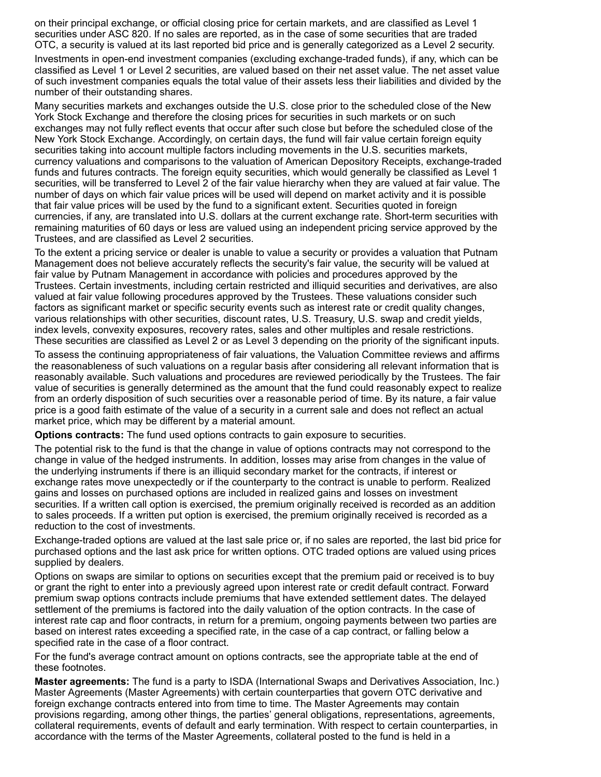on their principal exchange, or official closing price for certain markets, and are classified as Level 1 securities under ASC 820. If no sales are reported, as in the case of some securities that are traded OTC, a security is valued at its last reported bid price and is generally categorized as a Level 2 security.

Investments in open-end investment companies (excluding exchange-traded funds), if any, which can be classified as Level 1 or Level 2 securities, are valued based on their net asset value. The net asset value of such investment companies equals the total value of their assets less their liabilities and divided by the number of their outstanding shares.

Many securities markets and exchanges outside the U.S. close prior to the scheduled close of the New York Stock Exchange and therefore the closing prices for securities in such markets or on such exchanges may not fully reflect events that occur after such close but before the scheduled close of the New York Stock Exchange. Accordingly, on certain days, the fund will fair value certain foreign equity securities taking into account multiple factors including movements in the U.S. securities markets, currency valuations and comparisons to the valuation of American Depository Receipts, exchange-traded funds and futures contracts. The foreign equity securities, which would generally be classified as Level 1 securities, will be transferred to Level 2 of the fair value hierarchy when they are valued at fair value. The number of days on which fair value prices will be used will depend on market activity and it is possible that fair value prices will be used by the fund to a significant extent. Securities quoted in foreign currencies, if any, are translated into U.S. dollars at the current exchange rate. Short-term securities with remaining maturities of 60 days or less are valued using an independent pricing service approved by the Trustees, and are classified as Level 2 securities.

To the extent a pricing service or dealer is unable to value a security or provides a valuation that Putnam Management does not believe accurately reflects the security's fair value, the security will be valued at fair value by Putnam Management in accordance with policies and procedures approved by the Trustees. Certain investments, including certain restricted and illiquid securities and derivatives, are also valued at fair value following procedures approved by the Trustees. These valuations consider such factors as significant market or specific security events such as interest rate or credit quality changes, various relationships with other securities, discount rates, U.S. Treasury, U.S. swap and credit yields, index levels, convexity exposures, recovery rates, sales and other multiples and resale restrictions. These securities are classified as Level 2 or as Level 3 depending on the priority of the significant inputs.

To assess the continuing appropriateness of fair valuations, the Valuation Committee reviews and affirms the reasonableness of such valuations on a regular basis after considering all relevant information that is reasonably available. Such valuations and procedures are reviewed periodically by the Trustees. The fair value of securities is generally determined as the amount that the fund could reasonably expect to realize from an orderly disposition of such securities over a reasonable period of time. By its nature, a fair value price is a good faith estimate of the value of a security in a current sale and does not reflect an actual market price, which may be different by a material amount.

**Options contracts:** The fund used options contracts to gain exposure to securities.

The potential risk to the fund is that the change in value of options contracts may not correspond to the change in value of the hedged instruments. In addition, losses may arise from changes in the value of the underlying instruments if there is an illiquid secondary market for the contracts, if interest or exchange rates move unexpectedly or if the counterparty to the contract is unable to perform. Realized gains and losses on purchased options are included in realized gains and losses on investment securities. If a written call option is exercised, the premium originally received is recorded as an addition to sales proceeds. If a written put option is exercised, the premium originally received is recorded as a reduction to the cost of investments.

Exchange-traded options are valued at the last sale price or, if no sales are reported, the last bid price for purchased options and the last ask price for written options. OTC traded options are valued using prices supplied by dealers.

Options on swaps are similar to options on securities except that the premium paid or received is to buy or grant the right to enter into a previously agreed upon interest rate or credit default contract. Forward premium swap options contracts include premiums that have extended settlement dates. The delayed settlement of the premiums is factored into the daily valuation of the option contracts. In the case of interest rate cap and floor contracts, in return for a premium, ongoing payments between two parties are based on interest rates exceeding a specified rate, in the case of a cap contract, or falling below a specified rate in the case of a floor contract.

For the fund's average contract amount on options contracts, see the appropriate table at the end of these footnotes.

**Master agreements:** The fund is a party to ISDA (International Swaps and Derivatives Association, Inc.) Master Agreements (Master Agreements) with certain counterparties that govern OTC derivative and foreign exchange contracts entered into from time to time. The Master Agreements may contain provisions regarding, among other things, the parties' general obligations, representations, agreements, collateral requirements, events of default and early termination. With respect to certain counterparties, in accordance with the terms of the Master Agreements, collateral posted to the fund is held in a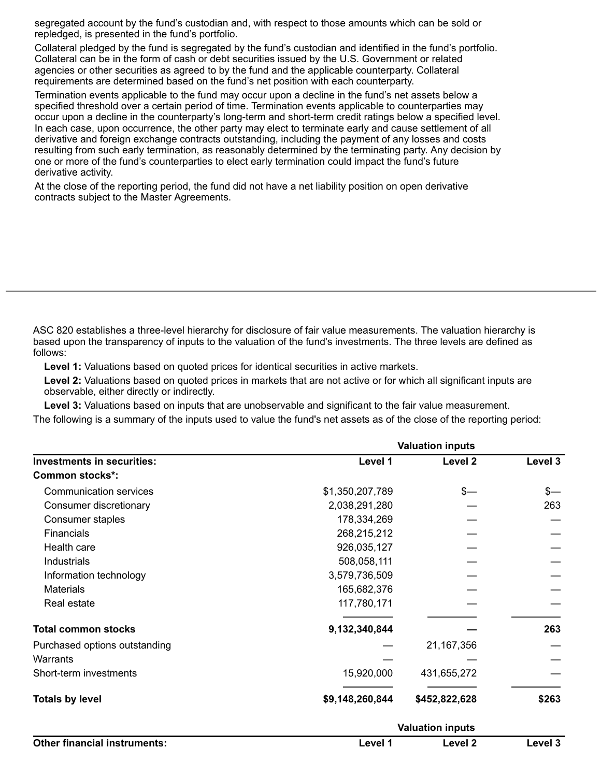segregated account by the fund's custodian and, with respect to those amounts which can be sold or repledged, is presented in the fund's portfolio.

Collateral pledged by the fund is segregated by the fund's custodian and identified in the fund's portfolio. Collateral can be in the form of cash or debt securities issued by the U.S. Government or related agencies or other securities as agreed to by the fund and the applicable counterparty. Collateral requirements are determined based on the fund's net position with each counterparty.

Termination events applicable to the fund may occur upon a decline in the fund's net assets below a specified threshold over a certain period of time. Termination events applicable to counterparties may occur upon a decline in the counterparty's long-term and short-term credit ratings below a specified level. In each case, upon occurrence, the other party may elect to terminate early and cause settlement of all derivative and foreign exchange contracts outstanding, including the payment of any losses and costs resulting from such early termination, as reasonably determined by the terminating party. Any decision by one or more of the fund's counterparties to elect early termination could impact the fund's future derivative activity.

At the close of the reporting period, the fund did not have a net liability position on open derivative contracts subject to the Master Agreements.

ASC 820 establishes a three-level hierarchy for disclosure of fair value measurements. The valuation hierarchy is based upon the transparency of inputs to the valuation of the fund's investments. The three levels are defined as follows:

**Level 1:** Valuations based on quoted prices for identical securities in active markets.

**Level 2:** Valuations based on quoted prices in markets that are not active or for which all significant inputs are observable, either directly or indirectly.

**Level 3:** Valuations based on inputs that are unobservable and significant to the fair value measurement.

The following is a summary of the inputs used to value the fund's net assets as of the close of the reporting period:

| Level 1<br>\$1,350,207,789 | Level 2                                                                                                                                                                    | Level 3 |
|----------------------------|----------------------------------------------------------------------------------------------------------------------------------------------------------------------------|---------|
|                            |                                                                                                                                                                            |         |
|                            |                                                                                                                                                                            |         |
|                            | \$—                                                                                                                                                                        | \$—     |
|                            |                                                                                                                                                                            | 263     |
|                            |                                                                                                                                                                            |         |
|                            |                                                                                                                                                                            |         |
|                            |                                                                                                                                                                            |         |
|                            |                                                                                                                                                                            |         |
|                            |                                                                                                                                                                            |         |
|                            |                                                                                                                                                                            |         |
|                            |                                                                                                                                                                            |         |
|                            |                                                                                                                                                                            | 263     |
|                            | 21,167,356                                                                                                                                                                 |         |
|                            |                                                                                                                                                                            |         |
|                            | 431,655,272                                                                                                                                                                |         |
|                            | \$452,822,628                                                                                                                                                              | \$263   |
|                            | 2,038,291,280<br>178,334,269<br>268,215,212<br>926,035,127<br>508,058,111<br>3,579,736,509<br>165,682,376<br>117,780,171<br>9,132,340,844<br>15,920,000<br>\$9,148,260,844 |         |

|                                     |         | <b>Valuation inputs</b> |         |
|-------------------------------------|---------|-------------------------|---------|
| <b>Other financial instruments:</b> | Level 1 | Level 2                 | Level 3 |